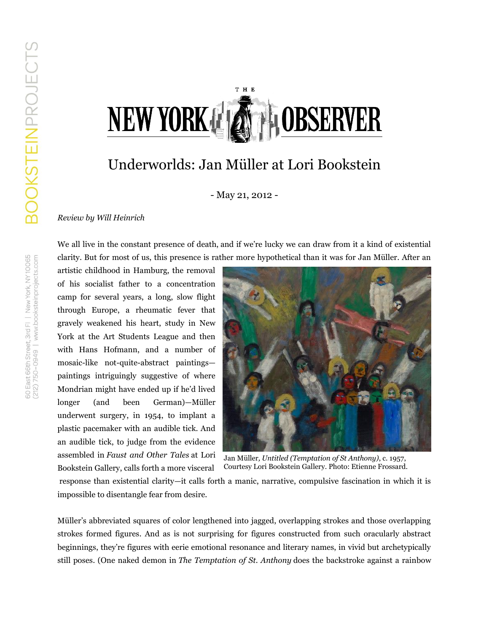## T H E NEW YORK & SHOBSERVER

## Underworlds: Jan Müller at Lori Bookstein

- May 21, 2012 -

## *Review by Will Heinrich*

We all live in the constant presence of death, and if we're lucky we can draw from it a kind of existential clarity. But for most of us, this presence is rather more hypothetical than it was for Jan Müller. After an

artistic childhood in Hamburg, the removal of his socialist father to a concentration camp for several years, a long, slow flight through Europe, a rheumatic fever that gravely weakened his heart, study in New York at the Art Students League and then with Hans Hofmann, and a number of mosaic-like not-quite-abstract paintings paintings intriguingly suggestive of where Mondrian might have ended up if he'd lived longer (and been German)—Müller underwent surgery, in 1954, to implant a plastic pacemaker with an audible tick. And an audible tick, to judge from the evidence assembled in *Faust and Other Tales* at Lori Bookstein Gallery, calls forth a more visceral



Jan Müller*, Untitled (Temptation of St Anthony)*, c. 1957, Courtesy Lori Bookstein Gallery. Photo: Etienne Frossard.

response than existential clarity—it calls forth a manic, narrative, compulsive fascination in which it is impossible to disentangle fear from desire.

Müller's abbreviated squares of color lengthened into jagged, overlapping strokes and those overlapping strokes formed figures. And as is not surprising for figures constructed from such oracularly abstract beginnings, they're figures with eerie emotional resonance and literary names, in vivid but archetypically still poses. (One naked demon in *The Temptation of St. Anthony* does the backstroke against a rainbow